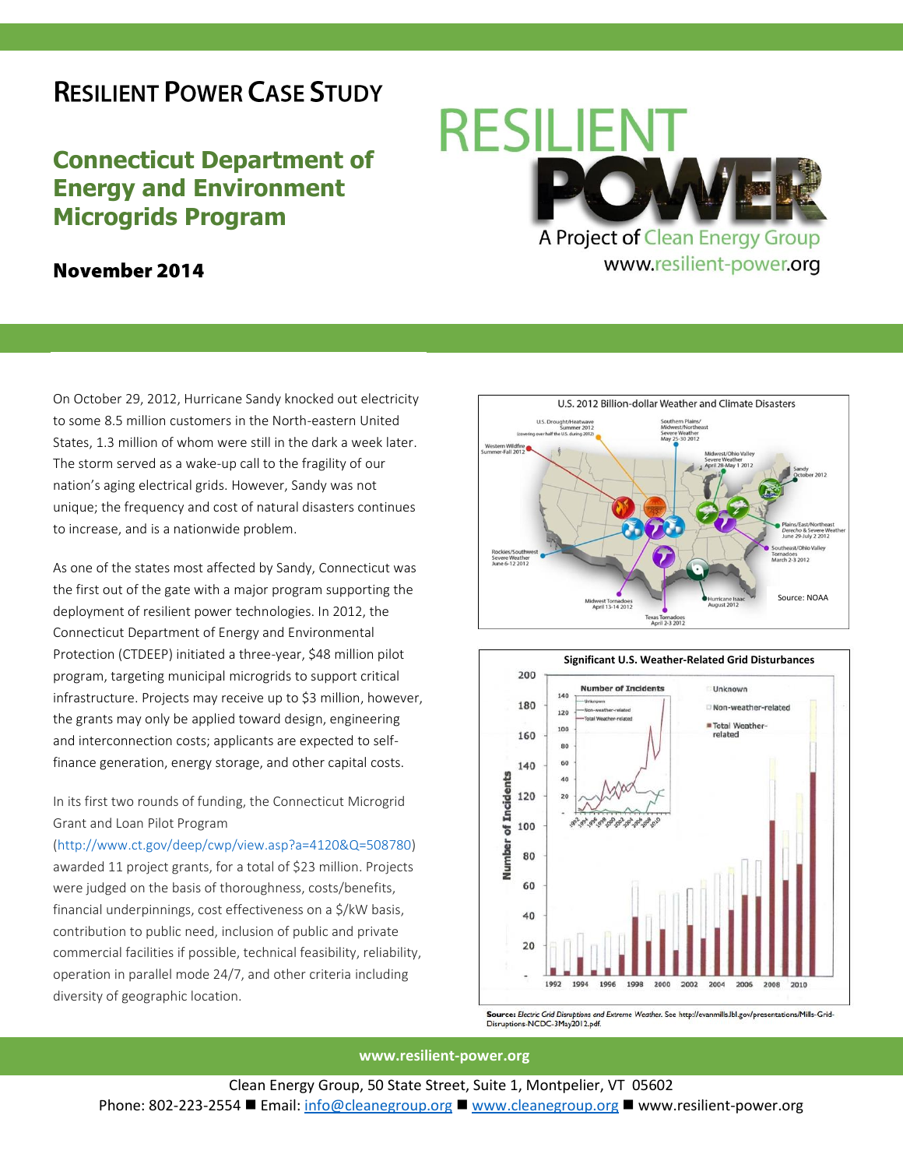## **RESILIENT POWER CASE STUDY**

## **Connecticut Department of Energy and Environment Microgrids Program**

## November 2014

On October 29, 2012, Hurricane Sandy knocked out electricity to some 8.5 million customers in the North-eastern United States, 1.3 million of whom were still in the dark a week later. The storm served as a wake-up call to the fragility of our nation's aging electrical grids. However, Sandy was not unique; the frequency and cost of natural disasters continues to increase, and is a nationwide problem.

As one of the states most affected by Sandy, Connecticut was the first out of the gate with a major program supporting the deployment of resilient power technologies. In 2012, the Connecticut Department of Energy and Environmental Protection (CTDEEP) initiated a three-year, \$48 million pilot program, targeting municipal microgrids to support critical infrastructure. Projects may receive up to \$3 million, however, the grants may only be applied toward design, engineering and interconnection costs; applicants are expected to selffinance generation, energy storage, and other capital costs.

In its first two rounds of funding, the Connecticut Microgrid Grant and Loan Pilot Program

[\(http://www.ct.gov/deep/cwp/view.asp?a=4120&Q=508780\)](http://www.ct.gov/deep/cwp/view.asp?a=4120&Q=508780) awarded 11 project grants, for a total of \$23 million. Projects were judged on the basis of thoroughness, costs/benefits, financial underpinnings, cost effectiveness on a \$/kW basis, contribution to public need, inclusion of public and private commercial facilities if possible, technical feasibility, reliability, operation in parallel mode 24/7, and other criteria including diversity of geographic location.







Source: Electric Grid Disruptions and Extreme Weather. See http://evanmills.lbl.gov/presentations/Mills-Grid-Disruptions-NCDC-3May2012.pdf.

**www.resilient-power.org**